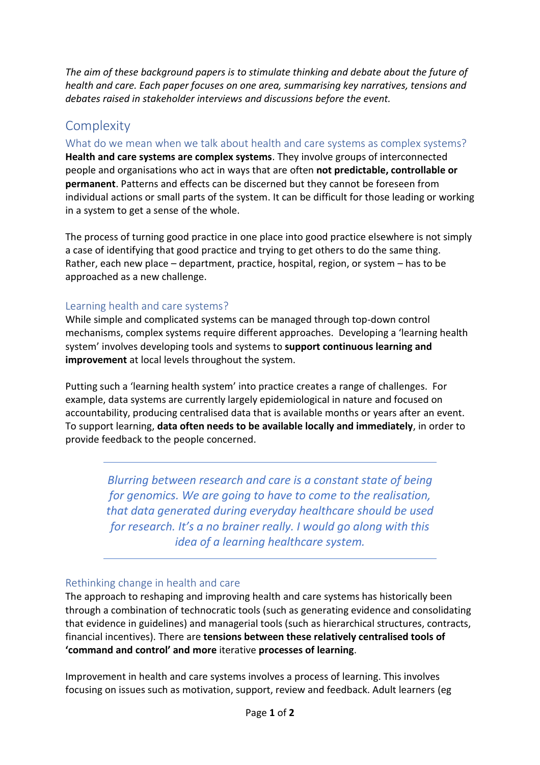*The aim of these background papers is to stimulate thinking and debate about the future of health and care. Each paper focuses on one area, summarising key narratives, tensions and debates raised in stakeholder interviews and discussions before the event.*

## **Complexity**

What do we mean when we talk about health and care systems as complex systems?

**Health and care systems are complex systems**. They involve groups of interconnected people and organisations who act in ways that are often **not predictable, controllable or permanent**. Patterns and effects can be discerned but they cannot be foreseen from individual actions or small parts of the system. It can be difficult for those leading or working in a system to get a sense of the whole.

The process of turning good practice in one place into good practice elsewhere is not simply a case of identifying that good practice and trying to get others to do the same thing. Rather, each new place – department, practice, hospital, region, or system – has to be approached as a new challenge.

## Learning health and care systems?

While simple and complicated systems can be managed through top-down control mechanisms, complex systems require different approaches. Developing a 'learning health system' involves developing tools and systems to **support continuous learning and improvement** at local levels throughout the system.

Putting such a 'learning health system' into practice creates a range of challenges. For example, data systems are currently largely epidemiological in nature and focused on accountability, producing centralised data that is available months or years after an event. To support learning, **data often needs to be available locally and immediately**, in order to provide feedback to the people concerned.

> *Blurring between research and care is a constant state of being for genomics. We are going to have to come to the realisation, that data generated during everyday healthcare should be used for research. It's a no brainer really. I would go along with this idea of a learning healthcare system.*

## Rethinking change in health and care

The approach to reshaping and improving health and care systems has historically been through a combination of technocratic tools (such as generating evidence and consolidating that evidence in guidelines) and managerial tools (such as hierarchical structures, contracts, financial incentives). There are **tensions between these relatively centralised tools of 'command and control' and more** iterative **processes of learning**.

Improvement in health and care systems involves a process of learning. This involves focusing on issues such as motivation, support, review and feedback. Adult learners (eg